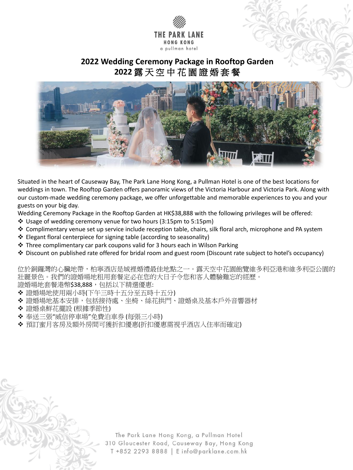

## **2022 Wedding Ceremony Package in Rooftop Garden 2022** 露 天 空 中 花 園 證 婚 套 餐



Situated in the heart of Causeway Bay, The Park Lane Hong Kong, a Pullman Hotel is one of the best locations for weddings in town. The Rooftop Garden offers panoramic views of the Victoria Harbour and Victoria Park. Along with our custom-made wedding ceremony package, we offer unforgettable and memorable experiences to you and your guests on your big day.

Wedding Ceremony Package in the Rooftop Garden at HK\$38,888 with the following privileges will be offered:

位於銅鑼灣的心臟地帶,柏寧酒店是城裡婚禮最佳地點之一。露天空中花園飽覽維多利亞港和維多利亞公園的 壯麗景色。我們的證婚場地租用套餐定必在您的大日子令您和客人體驗難忘的經歷。 證婚場地套餐港幣\$38,888,包括以下精選優惠:

- ◆ 證婚場地使用兩小時(下午三時十五分至五時十五分)
- 證婚場地基本安排,包括接待處、坐椅、絲花拱門、證婚桌及基本戶外音響器材
- 證婚桌鮮花擺設 (根據季節性)
- '威信停車場"免費泊車券 (每張三小時)
- ◆ 預訂蜜月客房及額外房間可獲折扣優惠(折扣優惠需視乎酒店入住率而確定)

The Park Lane Hong Kong, a Pullman Hotel 310 Gloucester Road, Causeway Bay, Hong Kong T +852 2293 8888 | E info@parklane.com.hk

- Usage of wedding ceremony venue for two hours (3:15pm to 5:15pm)
- Complimentary venue set up service include reception table, chairs, silk floral arch, microphone and PA system
- Elegant floral centerpiece for signing table (according to seasonality)
- Three complimentary car park coupons valid for 3 hours each in Wilson Parking
- Discount on published rate offered for bridal room and guest room (Discount rate subject to hotel's occupancy)